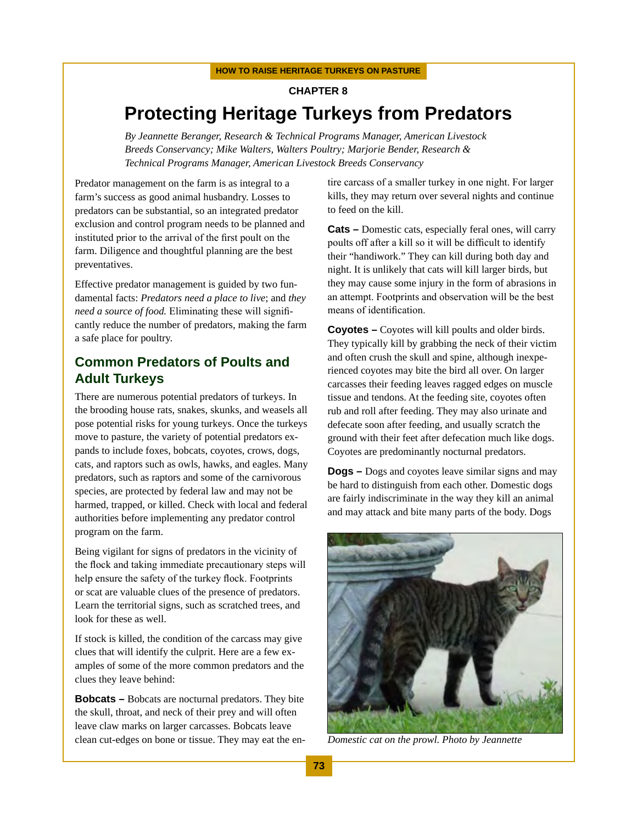# **Chapter 8 Protecting Heritage Turkeys from Predators**

*By Jeannette Beranger, Research & Technical Programs Manager, American Livestock Breeds Conservancy; Mike Walters, Walters Poultry; Marjorie Bender, Research & Technical Programs Manager, American Livestock Breeds Conservancy*

Predator management on the farm is as integral to a farm's success as good animal husbandry. Losses to predators can be substantial, so an integrated predator exclusion and control program needs to be planned and instituted prior to the arrival of the first poult on the farm. Diligence and thoughtful planning are the best preventatives.

Effective predator management is guided by two fundamental facts: *Predators need a place to live*; and *they need a source of food.* Eliminating these will significantly reduce the number of predators, making the farm a safe place for poultry.

## **Common Predators of Poults and Adult Turkeys**

There are numerous potential predators of turkeys. In the brooding house rats, snakes, skunks, and weasels all pose potential risks for young turkeys. Once the turkeys move to pasture, the variety of potential predators expands to include foxes, bobcats, coyotes, crows, dogs, cats, and raptors such as owls, hawks, and eagles. Many predators, such as raptors and some of the carnivorous species, are protected by federal law and may not be harmed, trapped, or killed. Check with local and federal authorities before implementing any predator control program on the farm.

Being vigilant for signs of predators in the vicinity of the flock and taking immediate precautionary steps will help ensure the safety of the turkey flock. Footprints or scat are valuable clues of the presence of predators. Learn the territorial signs, such as scratched trees, and look for these as well.

If stock is killed, the condition of the carcass may give clues that will identify the culprit. Here are a few examples of some of the more common predators and the clues they leave behind:

**Bobcats –** Bobcats are nocturnal predators. They bite the skull, throat, and neck of their prey and will often leave claw marks on larger carcasses. Bobcats leave clean cut-edges on bone or tissue. They may eat the entire carcass of a smaller turkey in one night. For larger kills, they may return over several nights and continue to feed on the kill.

**Cats –** Domestic cats, especially feral ones, will carry poults off after a kill so it will be difficult to identify their "handiwork." They can kill during both day and night. It is unlikely that cats will kill larger birds, but they may cause some injury in the form of abrasions in an attempt. Footprints and observation will be the best means of identification.

**Coyotes –** Coyotes will kill poults and older birds. They typically kill by grabbing the neck of their victim and often crush the skull and spine, although inexperienced coyotes may bite the bird all over. On larger carcasses their feeding leaves ragged edges on muscle tissue and tendons. At the feeding site, coyotes often rub and roll after feeding. They may also urinate and defecate soon after feeding, and usually scratch the ground with their feet after defecation much like dogs. Coyotes are predominantly nocturnal predators.

**Dogs –** Dogs and coyotes leave similar signs and may be hard to distinguish from each other. Domestic dogs are fairly indiscriminate in the way they kill an animal and may attack and bite many parts of the body. Dogs



*Domestic cat on the prowl. Photo by Jeannette*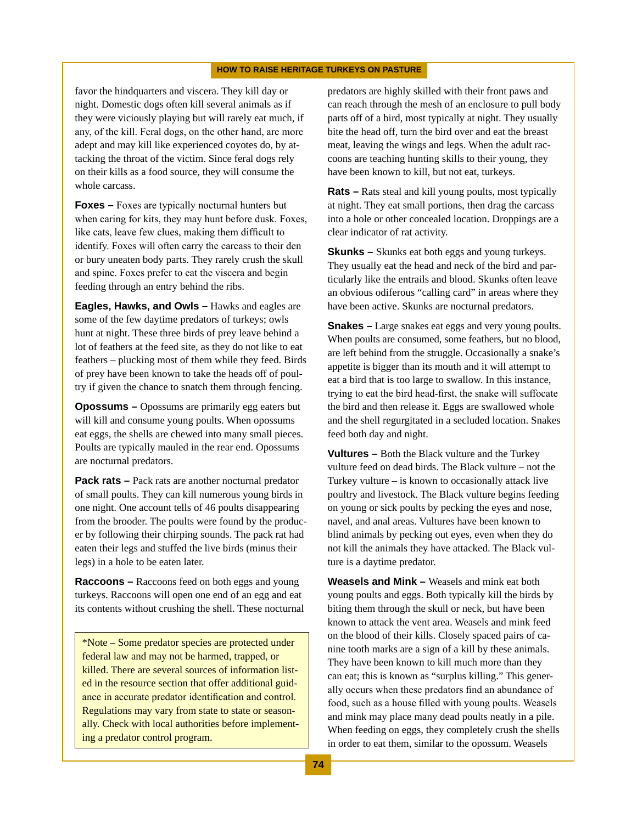favor the hindquarters and viscera. They kill day or night. Domestic dogs often kill several animals as if they were viciously playing but will rarely eat much, if any, of the kill. Feral dogs, on the other hand, are more adept and may kill like experienced coyotes do, by attacking the throat of the victim. Since feral dogs rely on their kills as a food source, they will consume the whole carcass.

**Foxes –** Foxes are typically nocturnal hunters but when caring for kits, they may hunt before dusk. Foxes, like cats, leave few clues, making them difficult to identify. Foxes will often carry the carcass to their den or bury uneaten body parts. They rarely crush the skull and spine. Foxes prefer to eat the viscera and begin feeding through an entry behind the ribs.

**Eagles, Hawks, and Owls –** Hawks and eagles are some of the few daytime predators of turkeys; owls hunt at night. These three birds of prey leave behind a lot of feathers at the feed site, as they do not like to eat feathers – plucking most of them while they feed. Birds of prey have been known to take the heads off of poultry if given the chance to snatch them through fencing.

**Opossums –** Opossums are primarily egg eaters but will kill and consume young poults. When opossums eat eggs, the shells are chewed into many small pieces. Poults are typically mauled in the rear end. Opossums are nocturnal predators.

**Pack rats – Pack rats are another nocturnal predator** of small poults. They can kill numerous young birds in one night. One account tells of 46 poults disappearing from the brooder. The poults were found by the producer by following their chirping sounds. The pack rat had eaten their legs and stuffed the live birds (minus their legs) in a hole to be eaten later.

**Raccoons –** Raccoons feed on both eggs and young turkeys. Raccoons will open one end of an egg and eat its contents without crushing the shell. These nocturnal

\*Note – Some predator species are protected under federal law and may not be harmed, trapped, or killed. There are several sources of information listed in the resource section that offer additional guidance in accurate predator identification and control. Regulations may vary from state to state or seasonally. Check with local authorities before implementing a predator control program.

predators are highly skilled with their front paws and can reach through the mesh of an enclosure to pull body parts off of a bird, most typically at night. They usually bite the head off, turn the bird over and eat the breast meat, leaving the wings and legs. When the adult raccoons are teaching hunting skills to their young, they have been known to kill, but not eat, turkeys.

**Rats –** Rats steal and kill young poults, most typically at night. They eat small portions, then drag the carcass into a hole or other concealed location. Droppings are a clear indicator of rat activity.

**Skunks –** Skunks eat both eggs and young turkeys. They usually eat the head and neck of the bird and particularly like the entrails and blood. Skunks often leave an obvious odiferous "calling card" in areas where they have been active. Skunks are nocturnal predators.

**Snakes –** Large snakes eat eggs and very young poults. When poults are consumed, some feathers, but no blood, are left behind from the struggle. Occasionally a snake's appetite is bigger than its mouth and it will attempt to eat a bird that is too large to swallow. In this instance, trying to eat the bird head-first, the snake will suffocate the bird and then release it. Eggs are swallowed whole and the shell regurgitated in a secluded location. Snakes feed both day and night.

**Vultures –** Both the Black vulture and the Turkey vulture feed on dead birds. The Black vulture – not the Turkey vulture – is known to occasionally attack live poultry and livestock. The Black vulture begins feeding on young or sick poults by pecking the eyes and nose, navel, and anal areas. Vultures have been known to blind animals by pecking out eyes, even when they do not kill the animals they have attacked. The Black vulture is a daytime predator.

**Weasels and Mink –** Weasels and mink eat both young poults and eggs. Both typically kill the birds by biting them through the skull or neck, but have been known to attack the vent area. Weasels and mink feed on the blood of their kills. Closely spaced pairs of canine tooth marks are a sign of a kill by these animals. They have been known to kill much more than they can eat; this is known as "surplus killing." This generally occurs when these predators find an abundance of food, such as a house filled with young poults. Weasels and mink may place many dead poults neatly in a pile. When feeding on eggs, they completely crush the shells in order to eat them, similar to the opossum. Weasels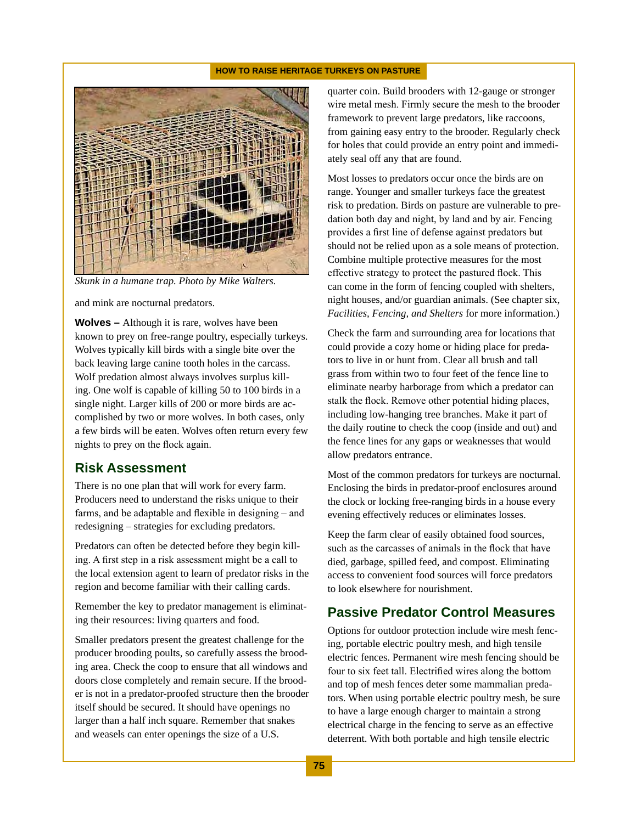

*Skunk in a humane trap. Photo by Mike Walters.*

and mink are nocturnal predators.

**Wolves –** Although it is rare, wolves have been known to prey on free-range poultry, especially turkeys. Wolves typically kill birds with a single bite over the back leaving large canine tooth holes in the carcass. Wolf predation almost always involves surplus killing. One wolf is capable of killing 50 to 100 birds in a single night. Larger kills of 200 or more birds are accomplished by two or more wolves. In both cases, only a few birds will be eaten. Wolves often return every few nights to prey on the flock again.

### **Risk Assessment**

There is no one plan that will work for every farm. Producers need to understand the risks unique to their farms, and be adaptable and flexible in designing – and redesigning – strategies for excluding predators.

Predators can often be detected before they begin killing. A first step in a risk assessment might be a call to the local extension agent to learn of predator risks in the region and become familiar with their calling cards.

Remember the key to predator management is eliminating their resources: living quarters and food.

Smaller predators present the greatest challenge for the producer brooding poults, so carefully assess the brooding area. Check the coop to ensure that all windows and doors close completely and remain secure. If the brooder is not in a predator-proofed structure then the brooder itself should be secured. It should have openings no larger than a half inch square. Remember that snakes and weasels can enter openings the size of a U.S.

quarter coin. Build brooders with 12-gauge or stronger wire metal mesh. Firmly secure the mesh to the brooder framework to prevent large predators, like raccoons, from gaining easy entry to the brooder. Regularly check for holes that could provide an entry point and immediately seal off any that are found.

Most losses to predators occur once the birds are on range. Younger and smaller turkeys face the greatest risk to predation. Birds on pasture are vulnerable to predation both day and night, by land and by air. Fencing provides a first line of defense against predators but should not be relied upon as a sole means of protection. Combine multiple protective measures for the most effective strategy to protect the pastured flock. This can come in the form of fencing coupled with shelters, night houses, and/or guardian animals. (See chapter six, *Facilities, Fencing, and Shelters* for more information.)

Check the farm and surrounding area for locations that could provide a cozy home or hiding place for predators to live in or hunt from. Clear all brush and tall grass from within two to four feet of the fence line to eliminate nearby harborage from which a predator can stalk the flock. Remove other potential hiding places, including low-hanging tree branches. Make it part of the daily routine to check the coop (inside and out) and the fence lines for any gaps or weaknesses that would allow predators entrance.

Most of the common predators for turkeys are nocturnal. Enclosing the birds in predator-proof enclosures around the clock or locking free-ranging birds in a house every evening effectively reduces or eliminates losses.

Keep the farm clear of easily obtained food sources, such as the carcasses of animals in the flock that have died, garbage, spilled feed, and compost. Eliminating access to convenient food sources will force predators to look elsewhere for nourishment.

### **Passive Predator Control Measures**

Options for outdoor protection include wire mesh fencing, portable electric poultry mesh, and high tensile electric fences. Permanent wire mesh fencing should be four to six feet tall. Electrified wires along the bottom and top of mesh fences deter some mammalian predators. When using portable electric poultry mesh, be sure to have a large enough charger to maintain a strong electrical charge in the fencing to serve as an effective deterrent. With both portable and high tensile electric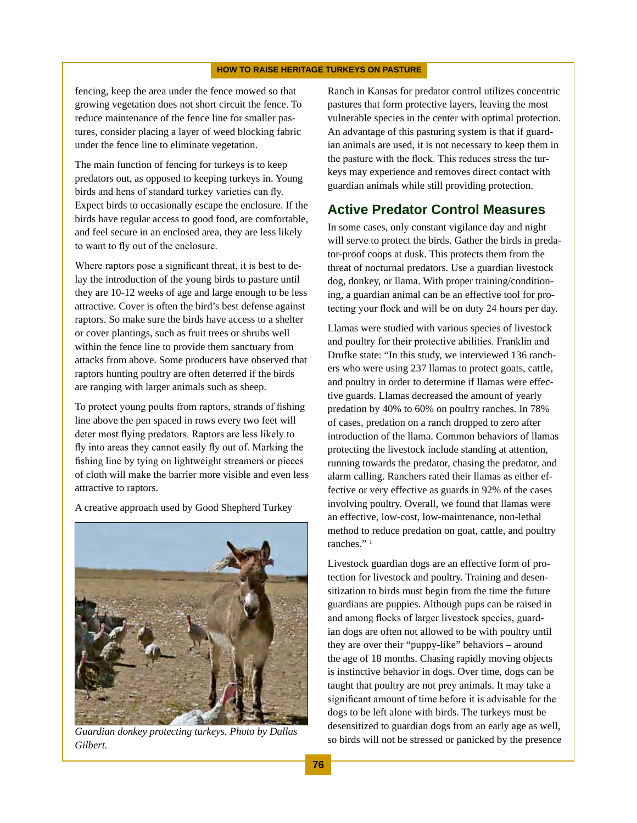fencing, keep the area under the fence mowed so that growing vegetation does not short circuit the fence. To reduce maintenance of the fence line for smaller pastures, consider placing a layer of weed blocking fabric under the fence line to eliminate vegetation.

The main function of fencing for turkeys is to keep predators out, as opposed to keeping turkeys in. Young birds and hens of standard turkey varieties can fly. Expect birds to occasionally escape the enclosure. If the birds have regular access to good food, are comfortable, and feel secure in an enclosed area, they are less likely to want to fly out of the enclosure.

Where raptors pose a significant threat, it is best to delay the introduction of the young birds to pasture until they are 10-12 weeks of age and large enough to be less attractive. Cover is often the bird's best defense against raptors. So make sure the birds have access to a shelter or cover plantings, such as fruit trees or shrubs well within the fence line to provide them sanctuary from attacks from above. Some producers have observed that raptors hunting poultry are often deterred if the birds are ranging with larger animals such as sheep.

To protect young poults from raptors, strands of fishing line above the pen spaced in rows every two feet will deter most flying predators. Raptors are less likely to fly into areas they cannot easily fly out of. Marking the fishing line by tying on lightweight streamers or pieces of cloth will make the barrier more visible and even less attractive to raptors.

A creative approach used by Good Shepherd Turkey



*Gilbert.*

Ranch in Kansas for predator control utilizes concentric pastures that form protective layers, leaving the most vulnerable species in the center with optimal protection. An advantage of this pasturing system is that if guardian animals are used, it is not necessary to keep them in the pasture with the flock. This reduces stress the turkeys may experience and removes direct contact with guardian animals while still providing protection.

### **Active Predator Control Measures**

In some cases, only constant vigilance day and night will serve to protect the birds. Gather the birds in predator-proof coops at dusk. This protects them from the threat of nocturnal predators. Use a guardian livestock dog, donkey, or llama. With proper training/conditioning, a guardian animal can be an effective tool for protecting your flock and will be on duty 24 hours per day.

Llamas were studied with various species of livestock and poultry for their protective abilities. Franklin and Drufke state: "In this study, we interviewed 136 ranchers who were using 237 llamas to protect goats, cattle, and poultry in order to determine if llamas were effective guards. Llamas decreased the amount of yearly predation by 40% to 60% on poultry ranches. In 78% of cases, predation on a ranch dropped to zero after introduction of the llama. Common behaviors of llamas protecting the livestock include standing at attention, running towards the predator, chasing the predator, and alarm calling. Ranchers rated their llamas as either effective or very effective as guards in 92% of the cases involving poultry. Overall, we found that llamas were an effective, low-cost, low-maintenance, non-lethal method to reduce predation on goat, cattle, and poultry ranches."<sup>1</sup>

Livestock guardian dogs are an effective form of protection for livestock and poultry. Training and desensitization to birds must begin from the time the future guardians are puppies. Although pups can be raised in and among flocks of larger livestock species, guardian dogs are often not allowed to be with poultry until they are over their "puppy-like" behaviors – around the age of 18 months. Chasing rapidly moving objects is instinctive behavior in dogs. Over time, dogs can be taught that poultry are not prey animals. It may take a significant amount of time before it is advisable for the dogs to be left alone with birds. The turkeys must be desensitized to guardian dogs from an early age as well, So birds will not be stressed or panicked by the presence *Gilbert* and *Guardian donkey protecting turkeys. Photo by Dallas* so birds will not be stressed or panicked by the presence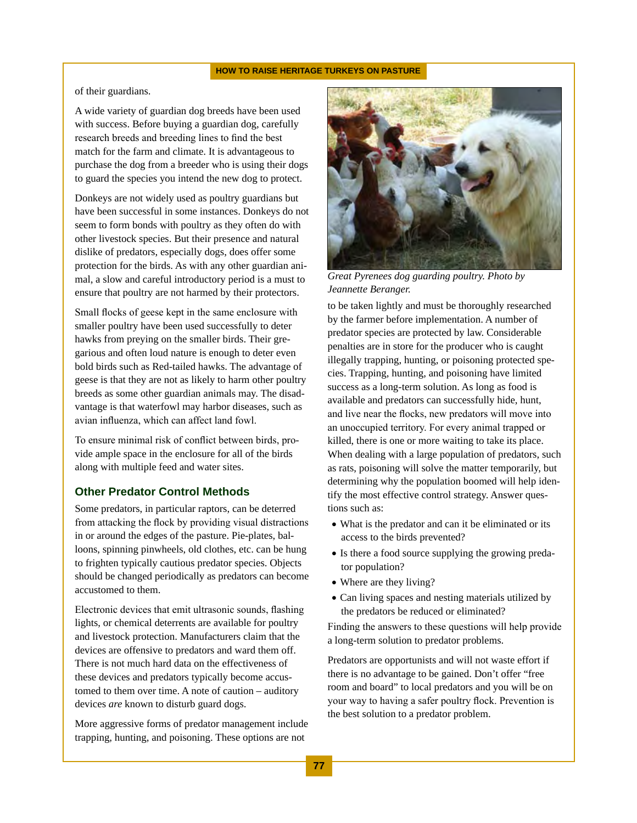of their guardians.

A wide variety of guardian dog breeds have been used with success. Before buying a guardian dog, carefully research breeds and breeding lines to find the best match for the farm and climate. It is advantageous to purchase the dog from a breeder who is using their dogs to guard the species you intend the new dog to protect.

Donkeys are not widely used as poultry guardians but have been successful in some instances. Donkeys do not seem to form bonds with poultry as they often do with other livestock species. But their presence and natural dislike of predators, especially dogs, does offer some protection for the birds. As with any other guardian animal, a slow and careful introductory period is a must to ensure that poultry are not harmed by their protectors.

Small flocks of geese kept in the same enclosure with smaller poultry have been used successfully to deter hawks from preying on the smaller birds. Their gregarious and often loud nature is enough to deter even bold birds such as Red-tailed hawks. The advantage of geese is that they are not as likely to harm other poultry breeds as some other guardian animals may. The disadvantage is that waterfowl may harbor diseases, such as avian influenza, which can affect land fowl.

To ensure minimal risk of conflict between birds, provide ample space in the enclosure for all of the birds along with multiple feed and water sites.

#### **Other Predator Control Methods**

Some predators, in particular raptors, can be deterred from attacking the flock by providing visual distractions in or around the edges of the pasture. Pie-plates, balloons, spinning pinwheels, old clothes, etc. can be hung to frighten typically cautious predator species. Objects should be changed periodically as predators can become accustomed to them.

Electronic devices that emit ultrasonic sounds, flashing lights, or chemical deterrents are available for poultry and livestock protection. Manufacturers claim that the devices are offensive to predators and ward them off. There is not much hard data on the effectiveness of these devices and predators typically become accustomed to them over time. A note of caution – auditory devices *are* known to disturb guard dogs.

More aggressive forms of predator management include trapping, hunting, and poisoning. These options are not



*Great Pyrenees dog guarding poultry. Photo by Jeannette Beranger.*

to be taken lightly and must be thoroughly researched by the farmer before implementation. A number of predator species are protected by law. Considerable penalties are in store for the producer who is caught illegally trapping, hunting, or poisoning protected species. Trapping, hunting, and poisoning have limited success as a long-term solution. As long as food is available and predators can successfully hide, hunt, and live near the flocks, new predators will move into an unoccupied territory. For every animal trapped or killed, there is one or more waiting to take its place. When dealing with a large population of predators, such as rats, poisoning will solve the matter temporarily, but determining why the population boomed will help identify the most effective control strategy. Answer questions such as:

- What is the predator and can it be eliminated or its access to the birds prevented?
- Is there a food source supplying the growing predator population?
- Where are they living?
- Can living spaces and nesting materials utilized by the predators be reduced or eliminated?

Finding the answers to these questions will help provide a long-term solution to predator problems.

Predators are opportunists and will not waste effort if there is no advantage to be gained. Don't offer "free room and board" to local predators and you will be on your way to having a safer poultry flock. Prevention is the best solution to a predator problem.